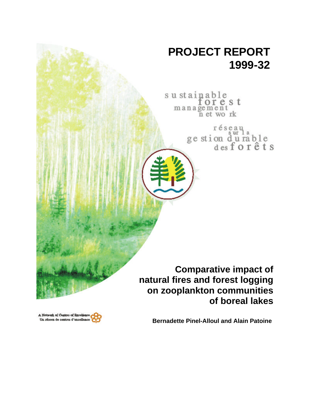# **PROJECT REPORT 1999-32**

sustainable orest management<br>n et work

> réseau ge stion du rable<br>desforêts

**Comparative impact of natural fires and forest logging on zooplankton communities of boreal lakes**

A Network of Centres of Excellence Un réseau de centres d'excellence

**Bernadette Pinel-Alloul and Alain Patoine**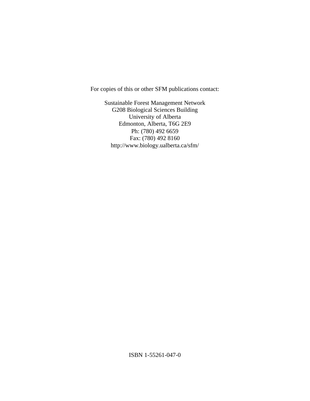For copies of this or other SFM publications contact:

Sustainable Forest Management Network G208 Biological Sciences Building University of Alberta Edmonton, Alberta, T6G 2E9 Ph: (780) 492 6659 Fax: (780) 492 8160 http://www.biology.ualberta.ca/sfm/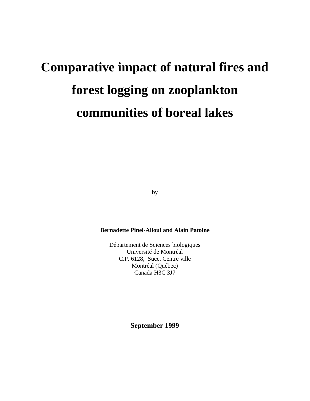# **Comparative impact of natural fires and forest logging on zooplankton communities of boreal lakes**

by

#### **Bernadette Pinel-Alloul and Alain Patoine**

Département de Sciences biologiques Université de Montréal C.P. 6128, Succ. Centre ville Montréal (Québec) Canada H3C 3J7

**September 1999**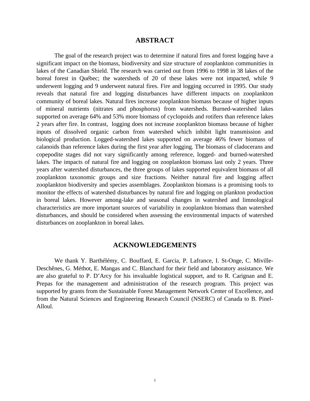# **ABSTRACT**

The goal of the research project was to determine if natural fires and forest logging have a significant impact on the biomass, biodiversity and size structure of zooplankton communities in lakes of the Canadian Shield. The research was carried out from 1996 to 1998 in 38 lakes of the boreal forest in Québec; the watersheds of 20 of these lakes were not impacted, while 9 underwent logging and 9 underwent natural fires. Fire and logging occurred in 1995. Our study reveals that natural fire and logging disturbances have different impacts on zooplankton community of boreal lakes. Natural fires increase zooplankton biomass because of higher inputs of mineral nutrients (nitrates and phosphorus) from watersheds. Burned-watershed lakes supported on average 64% and 53% more biomass of cyclopoids and rotifers than reference lakes 2 years after fire. In contrast, logging does not increase zooplankton biomass because of higher inputs of dissolved organic carbon from watershed which inhibit light transmission and biological production. Logged-watershed lakes supported on average 46% fewer biomass of calanoids than reference lakes during the first year after logging. The biomass of cladocerans and copepodite stages did not vary significantly among reference, logged- and burned-watershed lakes. The impacts of natural fire and logging on zooplankton biomass last only 2 years. Three years after watershed disturbances, the three groups of lakes supported equivalent biomass of all zooplankton taxonomic groups and size fractions. Neither natural fire and logging affect zooplankton biodiversity and species assemblages. Zooplankton biomass is a promising tools to monitor the effects of watershed disturbances by natural fire and logging on plankton production in boreal lakes. However among-lake and seasonal changes in watershed and limnological characteristics are more important sources of variability in zooplankton biomass than watershed disturbances, and should be considered when assessing the environmental impacts of watershed disturbances on zooplankton in boreal lakes.

# **ACKNOWLEDGEMENTS**

We thank Y. Barthélémy, C. Bouffard, E. Garcia, P. Lafrance, I. St-Onge, C. Miville-Deschênes, G. Méthot, E. Mangas and C. Blanchard for their field and laboratory assistance. We are also grateful to P. D'Arcy for his invaluable logistical support, and to R. Carignan and E. Prepas for the management and administration of the research program. This project was supported by grants from the Sustainable Forest Management Network Center of Excellence, and from the Natural Sciences and Engineering Research Council (NSERC) of Canada to B. Pinel-Alloul.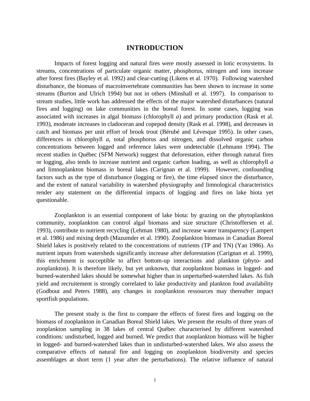# **INTRODUCTION**

Impacts of forest logging and natural fires were mostly assessed in lotic ecosystems. In streams, concentrations of particulate organic matter, phosphorus, nitrogen and ions increase after forest fires (Bayley et al. 1992) and clear-cutting (Likens et al. 1970). Following watershed disturbance, the biomass of macroinvertebrate communities has been shown to increase in some streams (Burton and Ulrich 1994) but not in others (Minshall et al. 1997). In comparison to stream studies, little work has addressed the effects of the major watershed disturbances (natural fires and logging) on lake communities in the boreal forest. In some cases, logging was associated with increases in algal biomass (chlorophyll *a*) and primary production (Rask et al. 1993), moderate increases in cladoceran and copepod density (Rask et al. 1998), and decreases in catch and biomass per unit effort of brook trout (Bérubé and Lévesque 1995). In other cases, differences in chlorophyll *a*, total phosphorus and nitrogen, and dissolved organic carbon concentrations between logged and reference lakes were undetectable (Lehmann 1994). The recent studies in Québec (SFM Network) suggest that deforestation, either through natural fires or logging, also tends to increase nutrient and organic carbon loading, as well as chlorophyll *a* and limnoplankton biomass in boreal lakes (Carignan et al. 1999). However, confounding factors such as the type of disturbance (logging or fire), the time elapsed since the disturbance, and the extent of natural variability in watershed physiography and limnological characteristics render any statement on the differential impacts of logging and fires on lake biota yet questionable.

Zooplankton is an essential component of lake biota: by grazing on the phytoplankton community, zooplankton can control algal biomass and size structure (Christoffersen et al. 1993), contribute to nutrient recycling (Lehman 1980), and increase water transparency (Lampert et al. 1986) and mixing depth (Mazumder et al. 1990). Zooplankton biomass in Canadian Boreal Shield lakes is positively related to the concentrations of nutrients (TP and TN) (Yan 1986). As nutrient inputs from watersheds significantly increase after deforestation (Carignan et al. 1999), this enrichment is succeptible to affect bottom-up interactions and plankton (phyto- and zooplankton). It is therefore likely, but yet unknown, that zooplankton biomass in logged- and burned-watershed lakes should be somewhat higher than in unperturbed-watershed lakes. As fish yield and recruitement is strongly correlated to lake productivity and plankton food availability (Godbout and Peters 1988), any changes in zooplankton ressources may thereafter impact sportfish populations.

The present study is the first to compare the effects of forest fires and logging on the biomass of zooplankton in Canadian Boreal Shield lakes. We present the results of three years of zooplankton sampling in 38 lakes of central Québec characterised by different watershed conditions: undisturbed, logged and burned. We predict that zooplankton biomass will be higher in logged- and burned-watershed lakes than in undisturbed-watershed lakes. We also assess the comparative effects of natural fire and logging on zooplankton biodiversity and species assemblages at short term (1 year after the perturbations). The relative influence of natural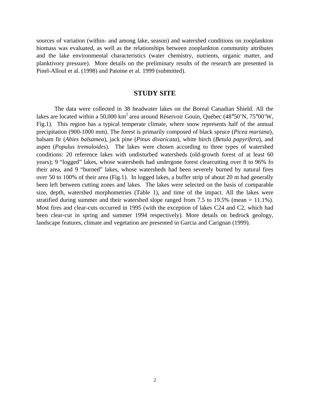sources of variation (within- and among lake, season) and watershed conditions on zooplankton biomass was evaluated, as well as the relationships between zooplankton community attributes and the lake environmental characteristics (water chemistry, nutrients, organic matter, and planktivory pressure). More details on the preliminary results of the research are presented in Pinel-Alloul et al. (1998) and Patoine et al. 1999 (submitted).

#### **STUDY SITE**

The data were collected in 38 headwater lakes on the Boreal Canadian Shield. All the lakes are located within a 50,000 km<sup>2</sup> area around Réservoir Gouin, Québec (48°50'N, 75°00'W, Fig.1). This region has a typical temperate climate, where snow represents half of the annual precipitation (900-1000 mm). The forest is primarily composed of black spruce (*Picea mariana*), balsam fir (*Abies balsamea*), jack pine (*Pinus divaricata*), white birch (*Betula papyrifera*), and aspen (*Populus tremuloides*). The lakes were chosen according to three types of watershed conditions: 20 reference lakes with undisturbed watersheds (old-growth forest of at least 60 years); 9 "logged" lakes, whose watersheds had undergone forest clearcutting over 8 to 96% fo their area, and 9 "burned" lakes, whose watersheds had been severely burned by natural fires over 50 to 100% of their area (Fig.1). In logged lakes, a buffer strip of about 20 m had generally been left between cutting zones and lakes. The lakes were selected on the basis of comparable size, depth, watershed morphometries (Table 1), and time of the impact. All the lakes were stratified during summer and their watershed slope ranged from 7.5 to 19.5% (mean = 11.1%). Most fires and clear-cuts occurred in 1995 (with the exception of lakes C24 and C2, which had been clear-cut in spring and summer 1994 respectively). More details on bedrock geology, landscape features, climate and vegetation are presented in Garcia and Carignan (1999).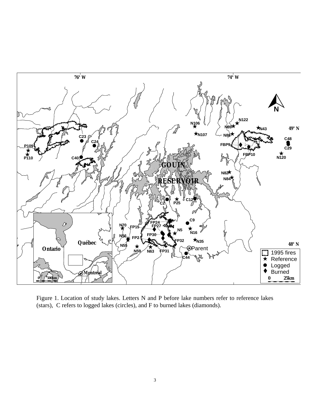

Figure 1. Location of study lakes. Letters N and P before lake numbers refer to reference lakes (stars), C refers to logged lakes (circles), and F to burned lakes (diamonds).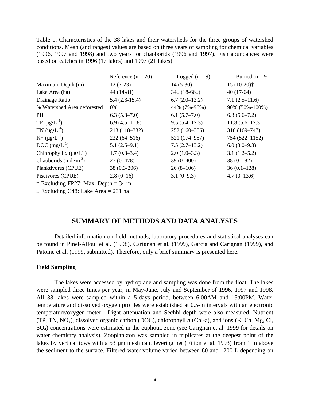Table 1. Characteristics of the 38 lakes and their watersheds for the three groups of watershed conditions. Mean (and ranges) values are based on three years of sampling for chemical variables (1996, 1997 and 1998) and two years for chaoborids (1996 and 1997). Fish abundances were based on catches in 1996 (17 lakes) and 1997 (21 lakes)

|                                            | Reference $(n = 20)$ | Logged $(n = 9)$            | Burned $(n = 9)$ |
|--------------------------------------------|----------------------|-----------------------------|------------------|
| Maximum Depth (m)                          | $12(7-23)$           | $14(5-30)$                  | $15(10-20)$ †    |
| Lake Area (ha)                             | $44(14-81)$          | $34\ddagger(18-66\ddagger)$ | $40(17-64)$      |
| Drainage Ratio                             | $5.4(2.3-15.4)$      | $6.7(2.0-13.2)$             | $7.1(2.5-11.6)$  |
| % Watershed Area deforested                | 0%                   | 44% (7%-96%)                | 90% (50%-100%)   |
| <b>PH</b>                                  | $6.3(5.8-7.0)$       | $6.1(5.7-7.0)$              | $6.3(5.6-7.2)$   |
| $TP (\mu g \cdot L^{-1})$                  | $6.9(4.5-11.8)$      | $9.5(5.4 - 17.3)$           | $11.8(5.6-17.3)$ |
| TN $(\mu g \cdot L^{-1})$                  | $213(118-332)$       | $252(160-386)$              | 310 (169-747)    |
| $K+ (\mu g \cdot L^{-1})$                  | $232(64 - 516)$      | 521 (174-957)               | 754 (522-1152)   |
| DOC $(mg\bullet L^{-1})$                   | $5.1(2.5-9.1)$       | $7.5(2.7-13.2)$             | $6.0(3.0-9.3)$   |
| Chlorophyll a $(\mu g \cdot L^{-1})$       | $1.7(0.8-3.4)$       | $2.0(1.0-3.3)$              | $3.1(1.2-5.2)$   |
| Chaoborids (ind. $\cdot$ m <sup>-3</sup> ) | $27(0-478)$          | $39(0-400)$                 | $38(0-182)$      |
| Planktivores (CPUE)                        | $38(0.3-206)$        | $26(8-106)$                 | $36(0.1-128)$    |
| Piscivores (CPUE)                          | $2.8(0-16)$          | $3.1(0-9.3)$                | $4.7(0-13.6)$    |

† Excluding FP27: Max. Depth = 34 m

‡ Excluding C48: Lake Area = 231 ha

# **SUMMARY OF METHODS AND DATA ANALYSES**

Detailed information on field methods, laboratory procedures and statistical analyses can be found in Pinel-Alloul et al. (1998), Carignan et al. (1999), Garcia and Carignan (1999), and Patoine et al. (1999, submitted). Therefore, only a brief summary is presented here.

#### **Field Sampling**

The lakes were accessed by hydroplane and sampling was done from the float. The lakes were sampled three times per year, in May-June, July and September of 1996, 1997 and 1998. All 38 lakes were sampled within a 5-days period, between 6:00AM and 15:00PM. Water temperature and dissolved oxygen profiles were established at 0.5-m intervals with an electronic temperature/oxygen meter. Light attenuation and Sechhi depth were also measured. Nutrient (TP, TN, NO3), dissolved organic carbon (DOC), chlorophyll *a* (Chl-a), and ions (K, Ca, Mg, Cl, SO4) concentrations were estimated in the euphotic zone (see Carignan et al. 1999 for details on water chemistry analysis). Zooplankton was sampled in triplicates at the deepest point of the lakes by vertical tows with a 53 µm mesh cantilevering net (Filion et al. 1993) from 1 m above the sediment to the surface. Filtered water volume varied between 80 and 1200 L depending on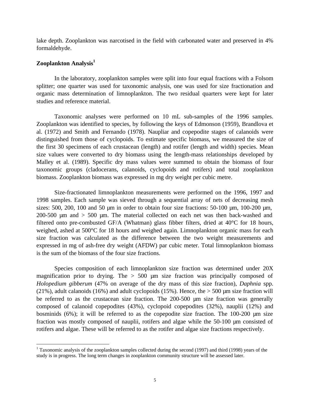lake depth. Zooplankton was narcotised in the field with carbonated water and preserved in 4% formaldehyde.

# **Zooplankton Analysis<sup>1</sup>**

 $\overline{a}$ 

In the laboratory, zooplankton samples were split into four equal fractions with a Folsom splitter; one quarter was used for taxonomic analysis, one was used for size fractionation and organic mass determination of limnoplankton. The two residual quarters were kept for later studies and reference material.

Taxonomic analyses were performed on 10 mL sub-samples of the 1996 samples. Zooplankton was identified to species, by following the keys of Edmonson (1959), Brandlova et al. (1972) and Smith and Fernando (1978). Naupliar and copepodite stages of calanoids were distinguished from those of cyclopoids. To estimate specific biomass, we measured the size of the first 30 specimens of each crustacean (length) and rotifer (length and width) species. Mean size values were converted to dry biomass using the length-mass relationships developed by Malley et al. (1989). Specific dry mass values were summed to obtain the biomass of four taxonomic groups (cladocerans, calanoids, cyclopoids and rotifers) and total zooplankton biomass. Zooplankton biomass was expressed in mg dry weight per cubic metre.

Size-fractionated limnoplankton measurements were performed on the 1996, 1997 and 1998 samples. Each sample was sieved through a sequential array of nets of decreasing mesh sizes: 500, 200, 100 and 50  $\mu$ m in order to obtain four size fractions: 50-100  $\mu$ m, 100-200  $\mu$ m, 200-500 µm and > 500 µm. The material collected on each net was then back-washed and filtered onto pre-combusted GF/A (Whatman) glass fibber filters, dried at 40°C for 18 hours, weighed, ashed at 500°C for 18 hours and weighed again. Limnoplankton organic mass for each size fraction was calculated as the difference between the two weight measurements and expressed in mg of ash-free dry weight (AFDW) par cubic meter. Total limnoplankton biomass is the sum of the biomass of the four size fractions.

Species composition of each limnoplankton size fraction was determined under 20X magnification prior to drying. The  $> 500$  µm size fraction was principally composed of *Holopedium gibberum* (47% on average of the dry mass of this size fraction), *Daphnia* spp. (21%), adult calanoids (16%) and adult cyclopoids (15%). Hence, the > 500 µm size fraction will be referred to as the crustacean size fraction. The 200-500 µm size fraction was generally composed of calanoid copepodites (43%), cyclopoid copepodites (32%), nauplii (12%) and bosminids  $(6\%)$ ; it will be referred to as the copepodite size fraction. The 100-200  $\mu$ m size fraction was mostly composed of nauplii, rotifers and algae while the 50-100 µm consisted of rotifers and algae. These will be referred to as the rotifer and algae size fractions respectively.

<sup>&</sup>lt;sup>1</sup> Taxonomic analysis of the zooplankton samples collected during the second (1997) and third (1998) years of the study is in progress. The long term changes in zooplankton community structure will be assessed later.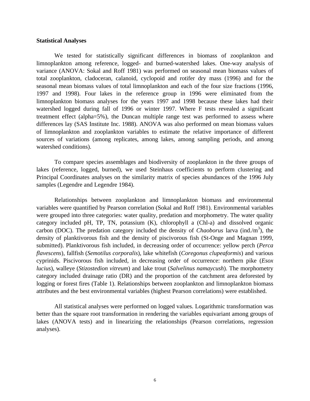#### **Statistical Analyses**

We tested for statistically significant differences in biomass of zooplankton and limnoplankton among reference, logged- and burned-watershed lakes. One-way analysis of variance (ANOVA: Sokal and Roff 1981) was performed on seasonal mean biomass values of total zooplankton, cladoceran, calanoid, cyclopoid and rotifer dry mass (1996) and for the seasonal mean biomass values of total limnoplankton and each of the four size fractions (1996, 1997 and 1998). Four lakes in the reference group in 1996 were eliminated from the limnoplankton biomass analyses for the years 1997 and 1998 because these lakes had their watershed logged during fall of 1996 or winter 1997. Where F tests revealed a significant treatment effect (alpha=5%), the Duncan multiple range test was performed to assess where differences lay (SAS Institute Inc. 1988). ANOVA was also performed on mean biomass values of limnoplankton and zooplankton variables to estimate the relative importance of different sources of variations (among replicates, among lakes, among sampling periods, and among watershed conditions).

To compare species assemblages and biodiversity of zooplankton in the three groups of lakes (reference, logged, burned), we used Steinhaus coefficients to perform clustering and Principal Coordinates analyses on the similarity matrix of species abundances of the 1996 July samples (Legendre and Legendre 1984).

Relationships between zooplankton and limnoplankton biomass and environmental variables were quantified by Pearson correlation (Sokal and Roff 1981). Environmental variables were grouped into three categories: water quality, predation and morphometry. The water quality category included pH, TP, TN, potassium (K), chlorophyll a (Chl-a) and dissolved organic carbon (DOC). The predation category included the density of *Chaoborus* larva (ind./m<sup>3</sup>), the density of planktivorous fish and the density of piscivorous fish (St-Onge and Magnan 1999, submitted). Planktivorous fish included, in decreasing order of occurrence: yellow perch (*Perca flavescens*), fallfish (*Semotilus corporalis*), lake whitefish (*Coregonus clupeaformis*) and various cyprinids. Piscivorous fish included, in decreasing order of occurrence: northern pike (*Esox lucius*), walleye (*Stizostedion vitreum*) and lake trout (*Salvelinus namaycush*). The morphometry category included drainage ratio (DR) and the proportion of the catchment area deforested by logging or forest fires (Table 1). Relationships between zooplankton and limnoplankton biomass attributes and the best environmental variables (highest Pearson correlations) were established.

All statistical analyses were performed on logged values. Logarithmic transformation was better than the square root transformation in rendering the variables equivariant among groups of lakes (ANOVA tests) and in linearizing the relationships (Pearson correlations, regression analyses).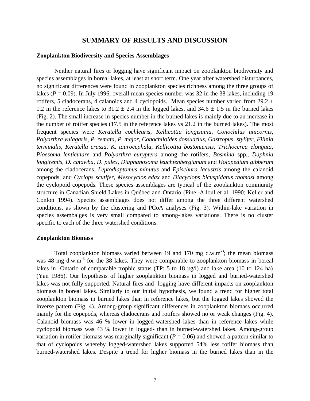# **SUMMARY OF RESULTS AND DISCUSSION**

#### **Zooplankton Biodiversity and Species Assemblages**

Neither natural fires or logging have significant impact on zooplankton biodiversity and species assemblages in boreal lakes, at least at short term. One year after watershed disturbances, no significant differences were found in zooplankton species richness among the three groups of lakes ( $P = 0.09$ ). In July 1996, overall mean species number was 32 in the 38 lakes, including 19 rotifers, 5 cladocerans, 4 calanoids and 4 cyclopoids. Mean species number varied from 29.2  $\pm$ 1.2 in the reference lakes to  $31.2 \pm 2.4$  in the logged lakes, and  $34.6 \pm 1.5$  in the burned lakes (Fig. 2). The small increase in species number in the burned lakes is mainly due to an increase in the number of rotifer species (17.5 in the reference lakes vs 21.2 in the burned lakes). The most frequent species were *Keratella cochlearis*, *Kellicottia longispina*, *Conochilus unicornis*, *Polyarthra vulagaris*, *P. remata*, *P. major*, *Conochiloides dossuarius*, *Gastropus stylifer*, *Filinia terminalis*, *Keratella crassa*, *K. taurocephala*, *Kellicottia bostoniensis*, *Trichocerca elongata*, *Ploesoma lenticulare* and *Polyarthra euryptera* among the rotifers, *Bosmina* spp., *Daphnia longiremis*, *D. catawba*, *D. pulex*, *Diaphanosoma leuchtenbergianum* and *Holopedium gibberum* among the cladocerans, *Leptodiaptomus minutus* and *Epischura lacustris* among the calanoid copepods, and *Cyclops scutifer*, *Mesocyclos edax* and *Diacyclops bicuspidatus thomasi* among the cyclopoid copepods. These species assemblages are typical of the zooplankton community structure in Canadian Shield Lakes in Québec and Ontario (Pinel-Alloul et al. 1990; Keller and Conlon 1994). Species assemblages does not differ among the three different watershed conditions, as shown by the clustering and PCoA analyses (Fig. 3). Within-lake variation in species assembalges is very small compared to among-lakes variations. There is no cluster specific to each of the three watershed conditions.

# **Zooplankton Biomass**

Total zooplankton biomass varied between 19 and 170 mg d.w.m<sup>-3</sup>; the mean biomass was 48 mg d.w.m<sup>-3</sup> for the 38 lakes. They were comparable to zooplankton biomass in boreal lakes in Ontario of comparable trophic status (TP: 5 to 18 µg/l) and lake area (10 to 124 ha) (Yan 1986). Our hypothesis of higher zooplankton biomass in logged and burned-watershed lakes was not fully supported. Natural fires and logging have different impacts on zooplankton biomass in boreal lakes. Similarly to our initial hypothesis, we found a trend for higher total zooplankton biomass in burned lakes than in reference lakes, but the logged lakes showed the inverse pattern (Fig. 4). Among-group significant differences in zooplankton biomass occurred mainly for the copepods, whereas cladocerans and rotifers showed no or weak changes (Fig. 4). Calanoid biomass was 46 % lower in logged-watershed lakes than in reference lakes while cyclopoid biomass was 43 % lower in logged- than in burned-watershed lakes. Among-group variation in rotifer biomass was marginally significant ( $P = 0.06$ ) and showed a pattern similar to that of cyclopoids whereby logged-watershed lakes supported 54% less rotifer biomass than burned-watershed lakes. Despite a trend for higher biomass in the burned lakes than in the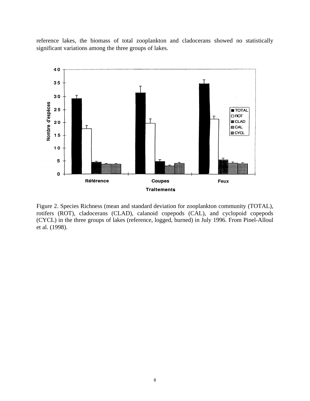reference lakes, the biomass of total zooplankton and cladocerans showed no statistically significant variations among the three groups of lakes.



Figure 2. Species Richness (mean and standard deviation for zooplankton community (TOTAL), rotifers (ROT), cladocerans (CLAD), calanoid copepods (CAL), and cyclopoid copepods (CYCL) in the three groups of lakes (reference, logged, burned) in July 1996. From Pinel-Alloul et al. (1998).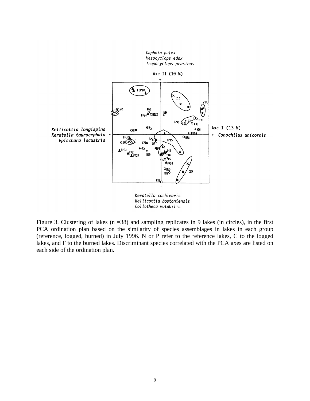

Collotheca mutabilis

Figure 3. Clustering of lakes ( $n = 38$ ) and sampling replicates in 9 lakes (in circles), in the first PCA ordination plan based on the similarity of species assemblages in lakes in each group (reference, logged, burned) in July 1996. N or P refer to the reference lakes, C to the logged lakes, and F to the burned lakes. Discriminant species correlated with the PCA axes are listed on each side of the ordination plan.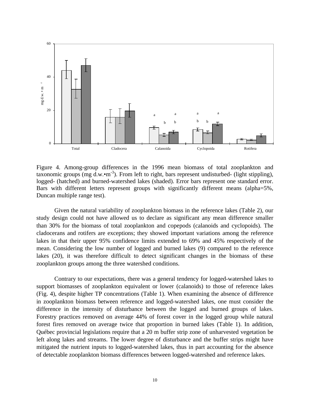

Figure 4. Among-group differences in the 1996 mean biomass of total zooplankton and taxonomic groups (mg d.w. $\cdot$ m<sup>-3</sup>). From left to right, bars represent undisturbed- (light stippling), logged- (hatched) and burned-watershed lakes (shaded). Error bars represent one standard error. Bars with different letters represent groups with significantly different means (alpha=5%, Duncan multiple range test).

Given the natural variability of zooplankton biomass in the reference lakes (Table 2), our study design could not have allowed us to declare as significant any mean difference smaller than 30% for the biomass of total zooplankton and copepods (calanoids and cyclopoids). The cladocerans and rotifers are exceptions; they showed important variations among the reference lakes in that their upper 95% confidence limits extended to 69% and 45% respectively of the mean. Considering the low number of logged and burned lakes (9) compared to the reference lakes (20), it was therefore difficult to detect significant changes in the biomass of these zooplankton groups among the three watershed conditions.

Contrary to our expectations, there was a general tendency for logged-watershed lakes to support biomasses of zooplankton equivalent or lower (calanoids) to those of reference lakes (Fig. 4), despite higher TP concentrations (Table 1). When examining the absence of difference in zooplankton biomass between reference and logged-watershed lakes, one must consider the difference in the intensity of disturbance between the logged and burned groups of lakes. Forestry practices removed on average 44% of forest cover in the logged group while natural forest fires removed on average twice that proportion in burned lakes (Table 1). In addition, Québec provincial legislations require that a 20 m buffer strip zone of unharvested vegetation be left along lakes and streams. The lower degree of disturbance and the buffer strips might have mitigated the nutrient inputs to logged-watershed lakes, thus in part accounting for the absence of detectable zooplankton biomass differences between logged-watershed and reference lakes.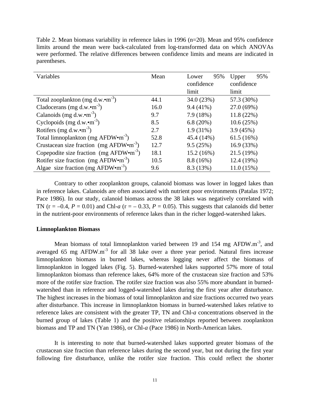| Table 2. Mean biomass variability in reference lakes in 1996 $(n=20)$ . Mean and 95% confidence |
|-------------------------------------------------------------------------------------------------|
| limits around the mean were back-calculated from log-transformed data on which ANOVAs           |
| were performed. The relative differences between confidence limits and means are indicated in   |
| parentheses.                                                                                    |

| Variables                                                   | Mean | 95%<br>Lower | 95%<br>Upper |
|-------------------------------------------------------------|------|--------------|--------------|
|                                                             |      | confidence   | confidence   |
|                                                             |      | limit        | limit        |
| Total zooplankton (mg $d.w.\bullet m^{-3}$ )                | 44.1 | 34.0 (23%)   | 57.3 (30%)   |
| Cladocerans (mg d.w. $\cdot$ m <sup>-3</sup> )              | 16.0 | $9.4(41\%)$  | 27.0 (69%)   |
| Calanoids (mg d.w. $\cdot$ m <sup>-3</sup> )                | 9.7  | 7.9(18%)     | 11.8(22%)    |
| Cyclopoids (mg d.w. $\cdot$ m <sup>-3</sup> )               | 8.5  | 6.8(20%)     | 10.6(25%)    |
| Rotifers (mg d.w. $\cdot$ m <sup>-3</sup> )                 | 2.7  | $1.9(31\%)$  | 3.9(45%)     |
| Total limnoplankton (mg $AFDW \cdot m^{-3}$ )               | 52.8 | 45.4 (14%)   | 61.5(16%)    |
| Crustacean size fraction (mg AFDW $\cdot$ m <sup>-3</sup> ) | 12.7 | 9.5(25%)     | 16.9 (33%)   |
| Copepodite size fraction (mg AFDW $\cdot$ m <sup>-3</sup> ) | 18.1 | 15.2(16%)    | 21.5 (19%)   |
| Rotifer size fraction (mg $AFDW \cdot m^{-3}$ )             | 10.5 | 8.8(16%)     | 12.4 (19%)   |
| Algae size fraction (mg AFDW $\cdot$ m <sup>-3</sup> )      | 9.6  | 8.3 (13%)    | 11.0(15%)    |

Contrary to other zooplankton groups, calanoid biomass was lower in logged lakes than in reference lakes. Calanoids are often associated with nutrient poor environments (Patalas 1972; Pace 1986). In our study, calanoid biomass across the 38 lakes was negatively correlated with TN ( $r = -0.4$ ,  $P = 0.01$ ) and Chl-*a* ( $r = -0.33$ ,  $P = 0.05$ ). This suggests that calanoids did better in the nutrient-poor environments of reference lakes than in the richer logged-watershed lakes.

#### **Limnoplankton Biomass**

Mean biomass of total limnoplankton varied between 19 and 154 mg AFDW.m<sup>-3</sup>, and averaged 65 mg AFDW.m<sup>-3</sup> for all 38 lake over a three year period. Natural fires increase limnoplankton biomass in burned lakes, whereas logging never affect the biomass of limnoplankton in logged lakes (Fig. 5). Burned-watershed lakes supported 57% more of total limnoplankton biomass than reference lakes, 64% more of the crustacean size fraction and 53% more of the rotifer size fraction. The rotifer size fraction was also 55% more abundant in burnedwatershed than in reference and logged-watershed lakes during the first year after disturbance. The highest increases in the biomass of total limnoplankton and size fractions occurred two years after disturbance. This increase in limnoplankton biomass in burned-watershed lakes relative to reference lakes are consistent with the greater TP, TN and Chl-*a* concentrations observed in the burned group of lakes (Table 1) and the positive relationships reported between zooplankton biomass and TP and TN (Yan 1986), or Chl-*a* (Pace 1986) in North-American lakes.

It is interesting to note that burned-watershed lakes supported greater biomass of the crustacean size fraction than reference lakes during the second year, but not during the first year following fire disturbance, unlike the rotifer size fraction. This could reflect the shorter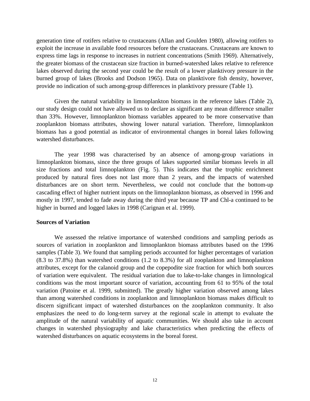generation time of rotifers relative to crustaceans (Allan and Goulden 1980), allowing rotifers to exploit the increase in available food resources before the crustaceans. Crustaceans are known to express time lags in response to increases in nutrient concentrations (Smith 1969). Alternatively, the greater biomass of the crustacean size fraction in burned-watershed lakes relative to reference lakes observed during the second year could be the result of a lower planktivory pressure in the burned group of lakes (Brooks and Dodson 1965). Data on planktivore fish density, however, provide no indication of such among-group differences in planktivory pressure (Table 1).

Given the natural variability in limnoplankton biomass in the reference lakes (Table 2), our study design could not have allowed us to declare as significant any mean difference smaller than 33%. However, limnoplankton biomass variables appeared to be more conservative than zooplankton biomass attributes, showing lower natural variation. Therefore, limnoplankton biomass has a good potential as indicator of environmental changes in boreal lakes following watershed disturbances.

The year 1998 was characterised by an absence of among-group variations in limnoplankton biomass, since the three groups of lakes supported similar biomass levels in all size fractions and total limnoplankton (Fig. 5). This indicates that the trophic enrichment produced by natural fires does not last more than 2 years, and the impacts of watershed disturbances are on short term. Nevertheless, we could not conclude that the bottom-up cascading effect of higher nutrient inputs on the limnoplankton biomass, as observed in 1996 and mostly in 1997, tended to fade away during the third year because TP and Chl-a continued to be higher in burned and logged lakes in 1998 (Carignan et al. 1999).

#### **Sources of Variation**

We assessed the relative importance of watershed conditions and sampling periods as sources of variation in zooplankton and limnoplankton biomass attributes based on the 1996 samples (Table 3). We found that sampling periods accounted for higher percentages of variation (8.3 to 37.8%) than watershed conditions (1.2 to 8.3%) for all zooplankton and limnoplankton attributes, except for the calanoid group and the copepodite size fraction for which both sources of variation were equivalent. The residual variation due to lake-to-lake changes in limnological conditions was the most important source of variation, accounting from 61 to 95% of the total variation (Patoine et al. 1999, submitted). The greatly higher variation observed among lakes than among watershed conditions in zooplankton and limnoplankton biomass makes difficult to discern significant impact of watershed disturbances on the zooplankton community. It also emphasizes the need to do long-term survey at the regional scale in attempt to evaluate the amplitude of the natural variability of aquatic communities. We should also take in account changes in watershed physiography and lake characteristics when predicting the effects of watershed disturbances on aquatic ecosystems in the boreal forest.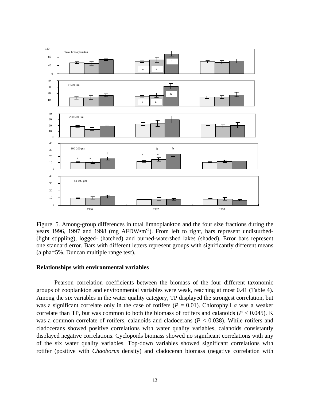

Figure. 5. Among-group differences in total limnoplankton and the four size fractions during the years 1996, 1997 and 1998 (mg AFDW $\cdot$ m<sup>-3</sup>). From left to right, bars represent undisturbed-(light stippling), logged- (hatched) and burned-watershed lakes (shaded). Error bars represent one standard error. Bars with different letters represent groups with significantly different means (alpha=5%, Duncan multiple range test).

#### **Relationships with environmental variables**

Pearson correlation coefficients between the biomass of the four different taxonomic groups of zooplankton and environmental variables were weak, reaching at most 0.41 (Table 4). Among the six variables in the water quality category, TP displayed the strongest correlation, but was a significant correlate only in the case of rotifers  $(P = 0.01)$ . Chlorophyll *a* was a weaker correlate than TP, but was common to both the biomass of rotifers and calanoids ( $P < 0.045$ ). K was a common correlate of rotifers, calanoids and cladocerans (*P* < 0.038). While rotifers and cladocerans showed positive correlations with water quality variables, calanoids consistantly displayed negative correlations. Cyclopoids biomass showed no significant correlations with any of the six water quality variables. Top-down variables showed significant correlations with rotifer (positive with *Chaoborus* density) and cladoceran biomass (negative correlation with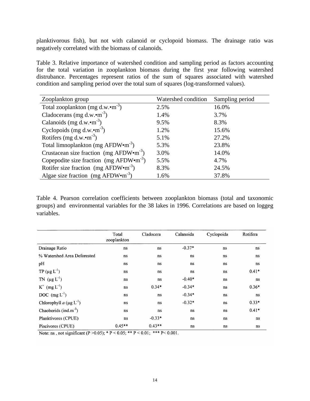planktivorous fish), but not with calanoid or cyclopoid biomass. The drainage ratio was negatively correlated with the biomass of calanoids.

Table 3. Relative importance of watershed condition and sampling period as factors accounting for the total variation in zooplankton biomass during the first year following watershed distrubance. Percentages represent ratios of the sum of squares associated with watershed condition and sampling period over the total sum of squares (log-transformed values).

| Zooplankton group                                        | Watershed condition | Sampling period |
|----------------------------------------------------------|---------------------|-----------------|
| Total zooplankton (mg d.w. $\cdot$ m <sup>-3</sup> )     | 2.5%                | 16.0%           |
| Cladocerans (mg d.w. $\cdot$ m <sup>-3</sup> )           | 1.4%                | 3.7%            |
| Calanoids (mg d.w. $\cdot$ m <sup>-3</sup> )             | 9.5%                | 8.3%            |
| Cyclopoids (mg d.w. $\cdot$ m <sup>-3</sup> )            | 1.2%                | 15.6%           |
| Rotifers (mg d.w. $\cdot$ m <sup>-3</sup> )              | 5.1%                | 27.2%           |
| Total limnoplankton (mg $AFDW\cdot m^{-3}$ )             | 5.3%                | 23.8%           |
| Crustacean size fraction (mg $AFDW\cdot m^{-3}$ )        | 3.0%                | 14.0%           |
| Copepodite size fraction $(mg \text{ AFDW}\cdot m^{-3})$ | 5.5%                | 4.7%            |
| Rotifer size fraction (mg $AFDW \cdot m^{-3}$ )          | 8.3%                | 24.5%           |
| Algae size fraction (mg $AFDW \cdot m^{-3}$ )            | 1.6%                | 37.8%           |

Table 4. Pearson correlation coefficients between zooplankton biomass (total and taxonomic groups) and environmental variables for the 38 lakes in 1996. Correlations are based on loggeg variables.

|                                   | Total<br>zooplankton | Cladocera | Calanoida | Cyclopoida | Rotifera |
|-----------------------------------|----------------------|-----------|-----------|------------|----------|
| Drainage Ratio                    | ns                   | ns        | $-0.37*$  | ns         | ns       |
| % Watershed Area Deforested       | ns                   | ns        | ns        | ns         | ns       |
| pH                                | ns                   | ns        | ns        | ns         | ns       |
| TP $(\mu g L^{-1})$               | ns                   | ns        | ns        | ns         | $0.41*$  |
| TN $(\mu g L^{-1})$               | ns                   | ns        | $-0.40*$  | ns         | ns       |
| $K^+$ (mg $L^{-1}$ )              | ns                   | $0.34*$   | $-0.34*$  | ns         | $0.36*$  |
| DOC $(mg L^{-1})$                 | ns                   | $\bf ns$  | $-0.34*$  | ns         | ns       |
| Chlorophyll $a (\mu g L^{-1})$    | ns                   | ns        | $-0.32*$  | ns         | $0.33*$  |
| Chaoborids (ind.m <sup>-3</sup> ) | ns                   | ns        | ns        | ns         | $0.41*$  |
| Planktivores (CPUE)               | ns                   | $-0.33*$  | ns        | ns         | ns       |
| Piscivores (CPUE)                 | $0.45**$             | $0.43**$  | ns        | ns         | ns       |

Note: ns, not significant (P > 0.05); \* P < 0.05; \*\* P < 0.01; \*\*\* P < 0.001.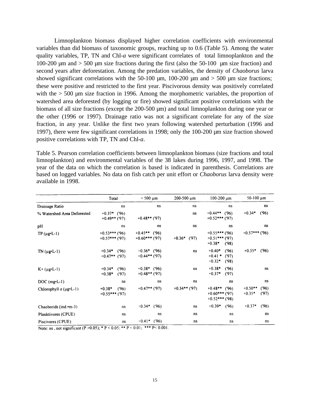Limnoplankton biomass displayed higher correlation coefficients with environmental variables than did biomass of taxonomic groups, reaching up to 0.6 (Table 5). Among the water quality variables, TP, TN and Chl-*a* were significant correlates of total limnoplankton and the 100-200 µm and > 500 µm size fractions during the first (also the 50-100 µm size fraction) and second years after deforestation. Among the predation variables, the density of *Chaoborus* larva showed significant correlations with the 50-100  $\mu$ m, 100-200  $\mu$ m and  $>$  500  $\mu$ m size fractions; these were positive and restricted to the first year. Piscivorous density was positively correlated with the  $> 500$  µm size fraction in 1996. Among the morphometric variables, the proportion of watershed area deforested (by logging or fire) showed significant positive correlations with the biomass of all size fractions (except the 200-500 µm) and total limnoplankton during one year or the other (1996 or 1997). Drainage ratio was not a significant correlate for any of the size fraction, in any year. Unlike the first two years following watershed perturbation (1996 and 1997), there were few significant correlations in 1998; only the 100-200 µm size fraction showed positive correlations with TP, TN and Chl-*a*.

Table 5. Pearson correlation coefficients between limnoplankton biomass (size fractions and total limnoplankton) and environmental variables of the 38 lakes during 1996, 1997, and 1998. The year of the data on which the correlation is based is indicated in parenthesis. Correlations are based on logged variables. No data on fish catch per unit effort or *Chaoborus* larva density were available in 1998.

|                                     | Total                                  | $> 500 \mu m$                         | $200 - 500 \mu m$ | $100-200 \mu m$                                            | 50-100 $\mu$ m                        |
|-------------------------------------|----------------------------------------|---------------------------------------|-------------------|------------------------------------------------------------|---------------------------------------|
| Drainage Ratio                      | ns                                     | ns                                    | ns                | ns                                                         | ns                                    |
| % Watershed Area Deforested         | $+0.37$ * ('96)<br>$+0.49$ ** ('97)    | $+0.48$ ** ('97)                      | ns                | $+0.44**$ ('96)<br>$+0.52$ *** ('97)                       | (96)<br>$+0.34*$                      |
| pН                                  | ns                                     | ns                                    | ns                | ns                                                         | ns                                    |
| $TP(\mu g \cdot L - 1)$             | $+0.53$ *** ('96)<br>$+0.57$ *** ('97) | $+0.45$ ** ('96)<br>$+0.60$ *** ('97) | $+0.36*$ ('97)    | $+0.55$ *** ('96)<br>$+0.51$ *** ('97)<br>$+0.38*$<br>(98) | $+0.57$ *** ('96)                     |
| $TN (\mu g \cdot L - 1)$            | (96)<br>$+0.34*$<br>$+0.47$ ** ('97)   | $+0.36*$ ('96)<br>$+0.44$ ** ('97)    | ns                | $+0.40*$<br>('96)<br>$+0.41$ *<br>(97)<br>$+0.32*$<br>(98) | (96)<br>$+0.35*$                      |
| $K+ (\mu g \cdot L - 1)$            | (96)<br>$+0.34*$<br>$+0.38*$<br>(97)   | $+0.38*$ ('96)<br>$+0.48$ ** ('97)    | ns                | $+0.38*$<br>(96)<br>$+0.37*$<br>(97)                       | ns                                    |
| $DOC$ (mg $\n-1$ )                  | ns                                     | ns                                    | ns                | ns                                                         | ns                                    |
| Chlorophyll $a$ (µg $\text{-}$ L-1) | $+0.38*$<br>(96)<br>$+0.55***$ ('97)   | $+0.47$ ** ('97)                      | $+0.34$ ** ('97)  | $+0.48$ ** ('96)<br>$+0.60$ *** ('97)<br>$+0.52$ *** ('98) | (96)<br>$+0.50**$<br>(97)<br>$+0.35*$ |
| Chaoborids (ind.•m-3)               | ns                                     | $+0.34$ * ('96)                       | ns                | $+0.39*$<br>(96)                                           | $+0.37*$<br>(96)                      |
| Planktivores (CPUE)                 | ns                                     | ns                                    | ns                | ns                                                         | ns                                    |
| Piscivores (CPUE)                   | ns                                     | $+0.41*$ ('96)                        | ns                | ns                                                         | ns                                    |

Note: ns, not significant (P > 0.05); \* P < 0.05; \*\* P < 0.01; \*\*\* P < 0.001.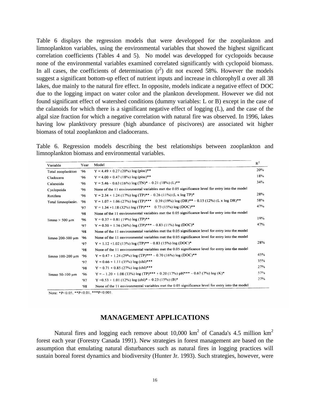Table 6 displays the regression models that were developped for the zooplankton and limnoplankton variables, using the environmental variables that showed the highest significant correlation coefficients (Tables 4 and 5). No model was developped for cyclopoids because none of the environmental variables examined correlated significantly with cyclopoid biomass. In all cases, the coefficients of determination  $(r^2)$  dit not exceed 58%. However the models suggest a significant bottom-up effect of nutrient inputs and increase in chlorophyll *a* over all 38 lakes, due mainly to the natural fire effect. In opposite, models indicate a negative effect of DOC due to the logging impact on water color and the plankton development. However we did not found significant effect of watershed conditions (dummy variables: L or B) except in the case of the calanoids for which there is a significant negative effect of logging (L), and the case of the algal size fraction for which a negative correlation with natural fire was observed. In 1996, lakes having low planktivory pressure (high abundance of piscivores) are associated wit higher biomass of total zooplankton and cladocerans.

Table 6. Regression models describing the best relationships between zooplankton and limnoplankton biomass and environmental variables.

| Variable              | Year | Model                                                                                           | $R^2$ |
|-----------------------|------|-------------------------------------------------------------------------------------------------|-------|
| Total zooplankton     | 96'  | $Y = 4.49 + 0.27 (20\%) \log (pisc)**$                                                          | 20%   |
| Cladocera             | '96  | $Y = 4.00 + 0.47$ (18%) log (pisc)**                                                            | 18%   |
| Calanoida             | '96  | $Y = 5.46 - 0.63$ (16%) log (TN)* - 0.21 (18%) (L)**                                            | 34%   |
| Cyclopoida            | 96'  | None of the 11 environmental variables met the 0.05 significance level for entry into the model |       |
| Rotifera              | '96  | $Y = 2.34 + 1.24 (17%) log (TP)*+ -0.26 (11%) (L x log TP)*$                                    | 28%   |
| Total limnoplankt.    | '96  | $Y = 1.07 + 1.06 (27%) \log (TP)$ *** 0.39 (19%) $\log (DR)$ ** - 0.15 (12%) (L x $\log DR)$ ** | 58%   |
|                       | '97  | $Y = 1.34 + 1.18 (32%) \log (TP)$ *** 0.73 (15%) log (DOC)**                                    | 47%   |
|                       | '98  | None of the 11 environmental variables met the 0.05 significance level for entry into the model |       |
| $limno > 500 \mu m$   | '96  | $Y = 0.37 + 0.81$ (19%) log (TP) <sup>**</sup>                                                  | 19%   |
|                       | '97  | $Y = 0.50 + 1.56$ (36%) log (TP)*** – 0.83 (11%) log (DOC)*                                     | 47%   |
|                       | '98  | None of the 11 environmental variables met the 0.05 significance level for entry into the model |       |
| limno 200-500 um      | '96  | None of the 11 environmental variables met the 0.05 significance level for entry into the model |       |
|                       | 97   | $Y = 1.12 + 1.02$ (13%) log (TP)** - 0.83 (15%) log (DOC)*                                      | 28%   |
|                       | '98  | None of the 11 environmental variables met the 0.05 significance level for entry into the model |       |
| limno $100-200 \mu m$ | '96  | $Y = 0.47 + 1.24$ (29%) log (TP)*** - 0.70 (16%) log (DOC)**                                    | 45%   |
|                       | '97  | $Y = 0.66 + 1.11(35%)$ log (chl)***                                                             | 35%   |
|                       | '98  | $Y = 0.71 + 0.85$ (27%) log (chl)***                                                            | 27%   |
| limno 50-100 μm       | '96  | $Y = -1.20 + 1.08 (33%) \log (TP)$ *** + 0.20 (17%) pH*** - 0.67 (7%) log (K)*                  | 57%   |
|                       | 97   | $Y = 0.53 + 1.01$ (12%) log (chl)* - 0.23 (15%) (B)*                                            | 27%   |
|                       | 98'  | None of the 11 environmental variables met the 0.05 significance level for entry into the model |       |

Note: \*P<0.05, \*\*P<0.01, \*\*\*P<0.001.

# **MANAGEMENT APPLICATIONS**

Natural fires and logging each remove about 10,000 km<sup>2</sup> of Canada's 4.5 million km<sup>2</sup> forest each year (Forestry Canada 1991). New strategies in forest management are based on the assumption that emulating natural disturbances such as natural fires in logging practices will sustain boreal forest dynamics and biodiversity (Hunter Jr. 1993). Such strategies, however, were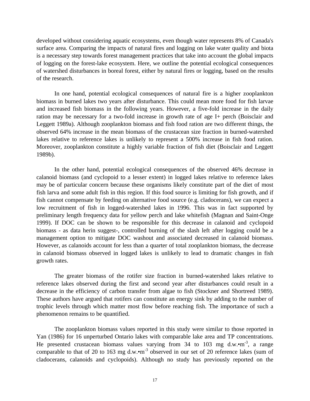developed without considering aquatic ecosystems, even though water represents 8% of Canada's surface area. Comparing the impacts of natural fires and logging on lake water quality and biota is a necessary step towards forest management practices that take into account the global impacts of logging on the forest-lake ecosystem. Here, we outline the potential ecological consequences of watershed disturbances in boreal forest, either by natural fires or logging, based on the results of the research.

In one hand, potential ecological consequences of natural fire is a higher zooplankton biomass in burned lakes two years after disturbance. This could mean more food for fish larvae and increased fish biomass in the following years. However, a five-fold increase in the daily ration may be necessary for a two-fold increase in growth rate of age I+ perch (Boisclair and Leggett 1989a). Although zooplankton biomass and fish food ration are two different things, the observed 64% increase in the mean biomass of the crustacean size fraction in burned-watershed lakes relative to reference lakes is unlikely to represent a 500% increase in fish food ration. Moreover, zooplankton constitute a highly variable fraction of fish diet (Boisclair and Leggett 1989b).

In the other hand, potential ecological consequences of the observed 46% decrease in calanoid biomass (and cyclopoid to a lesser extent) in logged lakes relative to reference lakes may be of particular concern because these organisms likely constitute part of the diet of most fish larva and some adult fish in this region. If this food source is limiting for fish growth, and if fish cannot compensate by feeding on alternative food source (e.g. cladocerans), we can expect a low recruitment of fish in logged-watershed lakes in 1996. This was in fact supported by preliminary length frequency data for yellow perch and lake whitefish (Magnan and Saint-Onge 1999). If DOC can be shown to be responsible for this decrease in calanoid and cyclopoid biomass - as data herin suggest-, controlled burning of the slash left after logging could be a management option to mitigate DOC washout and associated decreased in calanoid biomass. However, as calanoids account for less than a quarter of total zooplankton biomass, the decrease in calanoid biomass observed in logged lakes is unlikely to lead to dramatic changes in fish growth rates.

The greater biomass of the rotifer size fraction in burned-watershed lakes relative to reference lakes observed during the first and second year after disturbances could result in a decrease in the efficiency of carbon transfer from algae to fish (Stockner and Shortreed 1989). These authors have argued that rotifers can constitute an energy sink by adding to the number of trophic levels through which matter most flow before reaching fish. The importance of such a phenomenon remains to be quantified.

The zooplankton biomass values reported in this study were similar to those reported in Yan (1986) for 16 unperturbed Ontario lakes with comparable lake area and TP concentrations. He presented crustacean biomass values varying from 34 to 103 mg d.w. $\cdot$ m<sup>-3</sup>, a range comparable to that of 20 to 163 mg d.w. $\cdot$ m<sup>-3</sup> observed in our set of 20 reference lakes (sum of cladocerans, calanoids and cyclopoids). Although no study has previously reported on the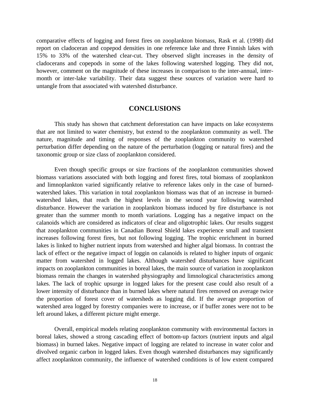comparative effects of logging and forest fires on zooplankton biomass, Rask et al. (1998) did report on cladoceran and copepod densities in one reference lake and three Finnish lakes with 15% to 33% of the watershed clear-cut. They observed slight increases in the density of cladocerans and copepods in some of the lakes following watershed logging. They did not, however, comment on the magnitude of these increases in comparison to the inter-annual, intermonth or inter-lake variability. Their data suggest these sources of variation were hard to untangle from that associated with watershed disturbance.

# **CONCLUSIONS**

This study has shown that catchment deforestation can have impacts on lake ecosystems that are not limited to water chemistry, but extend to the zooplankton community as well. The nature, magnitude and timing of responses of the zooplankton community to watershed perturbation differ depending on the nature of the perturbation (logging or natural fires) and the taxonomic group or size class of zooplankton considered.

Even though specific groups or size fractions of the zooplankton communities showed biomass variations associated with both logging and forest fires, total biomass of zooplankton and limnoplankton varied significantly relative to reference lakes only in the case of burnedwatershed lakes. This variation in total zooplankton biomass was that of an increase in burnedwatershed lakes, that reach the highest levels in the second year following watershed disturbance. However the variation in zooplankton biomass induced by fire disturbance is not greater than the summer month to month variations. Logging has a negative impact on the calanoids which are considered as indicators of clear and oligotrophic lakes. Our results suggest that zooplankton communities in Canadian Boreal Shield lakes experience small and transient increases following forest fires, but not following logging. The trophic enrichment in burned lakes is linked to higher nutrient inputs from watershed and higher algal biomass. In contrast the lack of effect or the negative impact of loggin on calanoids is related to higher inputs of organic matter from watershed in logged lakes. Although watershed disturbances have significant impacts on zooplankton communities in boreal lakes, the main source of variation in zooplankton biomass remain the changes in watershed physiography and limnological characteristics among lakes. The lack of trophic upsurge in logged lakes for the present case could also result of a lower intensity of disturbance than in burned lakes where natural fires removed on average twice the proportion of forest cover of watersheds as logging did. If the average proportion of watershed area logged by forestry companies were to increase, or if buffer zones were not to be left around lakes, a different picture might emerge.

Overall, empirical models relating zooplankton community with environmental factors in boreal lakes, showed a strong cascading effect of bottom-up factors (nutrient inputs and algal biomass) in burned lakes. Negative impact of logging are related to increase in water color and divolved organic carbon in logged lakes. Even though watershed disturbances may significantly affect zooplankton community, the influence of watershed conditions is of low extent compared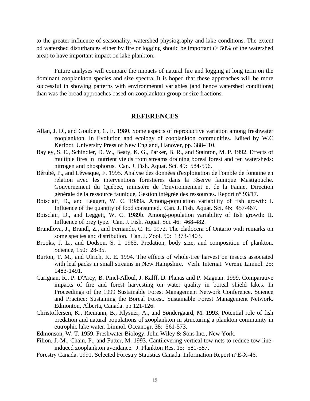to the greater influence of seasonality, watershed physiography and lake conditions. The extent od watershed disturbances either by fire or logging should be important (> 50% of the watershed area) to have important impact on lake plankton.

Future analyses will compare the impacts of natural fire and logging at long term on the dominant zooplankton species and size spectra. It is hoped that these approaches will be more successful in showing patterns with environmental variables (and hence watershed conditions) than was the broad approaches based on zooplankton group or size fractions.

# **REFERENCES**

- Allan, J. D., and Goulden, C. E. 1980. Some aspects of reproductive variation among freshwater zooplankton. In Evolution and ecology of zooplankton communities. Edited by W.C Kerfoot. University Press of New England, Hanover, pp. 388-410.
- Bayley, S. E., Schindler, D. W., Beaty, K. G., Parker, B. R., and Stainton, M. P. 1992. Effects of multiple fires in nutrient yields from streams draining boreal forest and fen watersheds: nitrogen and phosphorus. Can. J. Fish. Aquat. Sci. 49: 584-596.
- Bérubé, P., and Lévesque, F. 1995. Analyse des données d'exploitation de l'omble de fontaine en relation avec les interventions forestières dans la réserve faunique Mastigouche. Gouvernement du Québec, ministère de l'Environnement et de la Faune, Direction générale de la ressource faunique, Gestion intégrée des ressources. Report n° 93/17.
- Boisclair, D., and Leggett, W. C. 1989a. Among-population variability of fish growth: I. Influence of the quantity of food consumed. Can. J. Fish. Aquat. Sci. 46: 457-467.
- Boisclair, D., and Leggett, W. C. 1989b. Among-population variability of fish growth: II. Influence of prey type. Can. J. Fish. Aquat. Sci. 46: 468-482.
- Brandlova, J., Brandl, Z., and Fernando, C. H. 1972. The cladocera of Ontario with remarks on some species and distribution. Can. J. Zool. 50: 1373-1403.
- Brooks, J. L., and Dodson, S. I. 1965. Predation, body size, and composition of plankton. Science, 150: 28-35.
- Burton, T. M., and Ulrich, K. E. 1994. The effects of whole-tree harvest on insects associated with leaf packs in small streams in New Hampshire. Verh. Internat. Verein. Limnol. 25: 1483-1491.
- Carignan, R., P. D'Arcy, B. Pinel-Alloul, J. Kalff, D. Planas and P. Magnan. 1999. Comparative impacts of fire and forest harvesting on water quality in boreal shield lakes. In Proceedings of the 1999 Sustainable Forest Management Network Conference. Science and Practice: Sustaining the Boreal Forest. Sustainable Forest Management Network. Edmonton, Alberta, Canada. pp 121-126.
- Christoffersen, K., Riemann, B., Klysner, A., and Søndergaard, M. 1993. Potential role of fish predation and natural populations of zooplankton in structuring a plankton community in eutrophic lake water. Limnol. Oceanogr. 38: 561-573.
- Edmonson, W. T. 1959. Freshwater Biology. John Wiley & Sons Inc., New York.
- Filion, J.-M., Chain, P., and Futter, M. 1993. Cantilevering vertical tow nets to reduce tow-lineinduced zooplankton avoidance. J. Plankton Res. 15: 581-587.
- Forestry Canada. 1991. Selected Forestry Statistics Canada. Information Report n°E-X-46.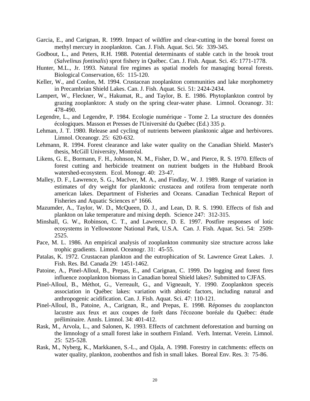- Garcia, E., and Carignan, R. 1999. Impact of wildfire and clear-cutting in the boreal forest on methyl mercury in zooplankton. Can. J. Fish. Aquat. Sci. 56: 339-345.
- Godbout, L., and Peters, R.H. 1988. Potential determinants of stable catch in the brook trout (*Salvelinus fontinalis*) sprot fishery in Québec. Can. J. Fish. Aquat. Sci. 45: 1771-1778.
- Hunter, M.L., Jr. 1993. Natural fire regimes as spatial models for managing boreal forests. Biological Conservation, 65: 115-120.
- Keller, W., and Conlon, M. 1994. Crustacean zooplankton communities and lake morphometry in Precambrian Shield Lakes. Can. J. Fish. Aquat. Sci. 51: 2424-2434.
- Lampert, W., Fleckner, W., Hakumat, R., and Taylor, B. E. 1986. Phytoplankton control by grazing zooplankton: A study on the spring clear-water phase. Limnol. Oceanogr. 31: 478-490.
- Legendre, L., and Legendre, P. 1984. Ecologie numérique Tome 2. La structure des données écologiques. Masson et Presses de l'Université du Québec (Ed.) 335 p.
- Lehman, J. T. 1980. Release and cycling of nutrients between planktonic algae and herbivores. Limnol. Oceanogr. 25: 620-632.
- Lehmann, R. 1994. Forest clearance and lake water quality on the Canadian Shield. Master's thesis, McGill University, Montréal.
- Likens, G. E., Bormann, F. H., Johnson, N. M., Fisher, D. W., and Pierce, R. S. 1970. Effects of forest cutting and herbicide treatment on nutrient budgets in the Hubbard Brook watershed-ecosystem. Ecol. Monogr. 40: 23-47.
- Malley, D. F., Lawrence, S. G., MacIver, M. A., and Findlay, W. J. 1989. Range of variation in estimates of dry weight for planktonic crustacea and rotifera from temperate north american lakes. Department of Fisheries and Oceans. Canadian Technical Report of Fisheries and Aquatic Sciences n° 1666.
- Mazumder, A., Taylor, W. D., McQueen, D. J., and Lean, D. R. S. 1990. Effects of fish and plankton on lake temperature and mixing depth. Science 247: 312-315.
- Minshall, G. W., Robinson, C. T., and Lawrence, D. E. 1997. Postfire responses of lotic ecosystems in Yellowstone National Park, U.S.A. Can. J. Fish. Aquat. Sci. 54: 2509- 2525.
- Pace, M. L. 1986. An empirical analysis of zooplankton community size structure across lake trophic gradients. Limnol. Oceanogr. 31: 45-55.
- Patalas, K. 1972. Crustacean plankton and the eutrophication of St. Lawrence Great Lakes. J. Fish. Res. Bd. Canada 29: 1451-1462.
- Patoine, A., Pinel-Alloul, B., Prepas, E., and Carignan, C. 1999. Do logging and forest fires influence zooplankton biomass in Canadian boreal Shield lakes?. Submitted to CJFAS.
- Pinel-Alloul, B., Méthot, G., Verreault, G., and Vigneault, Y. 1990. Zooplankton speceis association in Québec lakes: variation with abiotic factors, including natural and anthropogenic acidification. Can. J. Fish. Aquat. Sci. 47: 110-121.
- Pinel-Alloul, B., Patoine, A., Carignan, R., and Prepas, E. 1998. Réponses du zooplancton lacustre aux feux et aux coupes de forêt dans l'écozone boréale du Québec: étude préliminaire. Annls. Limnol. 34: 401-412.
- Rask, M., Arvola, L., and Salonen, K. 1993. Effects of catchment deforestation and burning on the limnology of a small forest lake in southern Finland. Verh. Internat. Verein. Limnol. 25: 525-528.
- Rask, M., Nyberg, K., Markkanen, S.-L., and Ojala, A. 1998. Forestry in catchments: effects on water quality, plankton, zoobenthos and fish in small lakes. Boreal Env. Res. 3: 75-86.